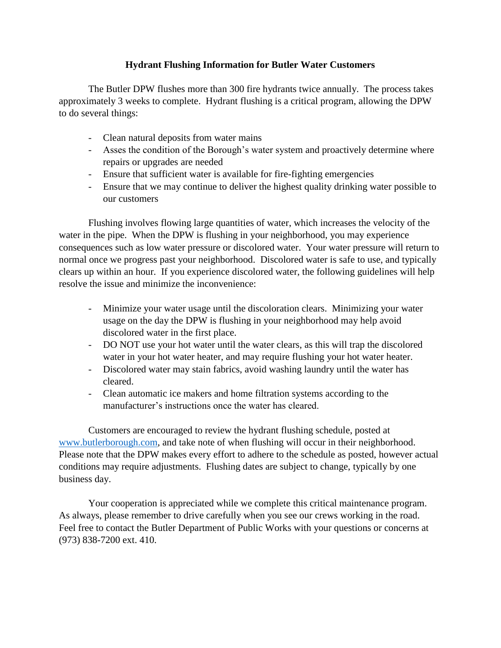#### **Hydrant Flushing Information for Butler Water Customers**

The Butler DPW flushes more than 300 fire hydrants twice annually. The process takes approximately 3 weeks to complete. Hydrant flushing is a critical program, allowing the DPW to do several things:

- Clean natural deposits from water mains
- Asses the condition of the Borough's water system and proactively determine where repairs or upgrades are needed
- Ensure that sufficient water is available for fire-fighting emergencies
- Ensure that we may continue to deliver the highest quality drinking water possible to our customers

Flushing involves flowing large quantities of water, which increases the velocity of the water in the pipe. When the DPW is flushing in your neighborhood, you may experience consequences such as low water pressure or discolored water. Your water pressure will return to normal once we progress past your neighborhood. Discolored water is safe to use, and typically clears up within an hour. If you experience discolored water, the following guidelines will help resolve the issue and minimize the inconvenience:

- Minimize your water usage until the discoloration clears. Minimizing your water usage on the day the DPW is flushing in your neighborhood may help avoid discolored water in the first place.
- DO NOT use your hot water until the water clears, as this will trap the discolored water in your hot water heater, and may require flushing your hot water heater.
- Discolored water may stain fabrics, avoid washing laundry until the water has cleared.
- Clean automatic ice makers and home filtration systems according to the manufacturer's instructions once the water has cleared.

Customers are encouraged to review the hydrant flushing schedule, posted at [www.butlerborough.com,](http://www.butlerborough.com/) and take note of when flushing will occur in their neighborhood. Please note that the DPW makes every effort to adhere to the schedule as posted, however actual conditions may require adjustments. Flushing dates are subject to change, typically by one business day.

Your cooperation is appreciated while we complete this critical maintenance program. As always, please remember to drive carefully when you see our crews working in the road. Feel free to contact the Butler Department of Public Works with your questions or concerns at (973) 838-7200 ext. 410.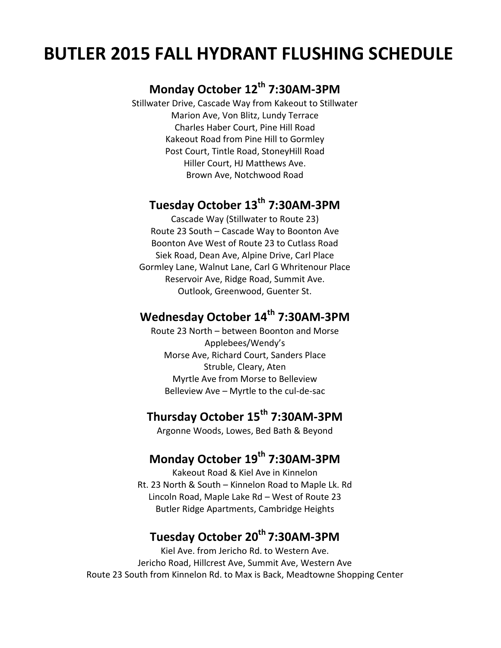# **BUTLER 2015 FALL HYDRANT FLUSHING SCHEDULE**

# **Monday October 12th 7:30AM-3PM**

Stillwater Drive, Cascade Way from Kakeout to Stillwater Marion Ave, Von Blitz, Lundy Terrace Charles Haber Court, Pine Hill Road Kakeout Road from Pine Hill to Gormley Post Court, Tintle Road, StoneyHill Road Hiller Court, HJ Matthews Ave. Brown Ave, Notchwood Road

## **Tuesday October 13th 7:30AM-3PM**

Cascade Way (Stillwater to Route 23) Route 23 South – Cascade Way to Boonton Ave Boonton Ave West of Route 23 to Cutlass Road Siek Road, Dean Ave, Alpine Drive, Carl Place Gormley Lane, Walnut Lane, Carl G Whritenour Place Reservoir Ave, Ridge Road, Summit Ave. Outlook, Greenwood, Guenter St.

#### **Wednesday October 14th 7:30AM-3PM**

Route 23 North – between Boonton and Morse Applebees/Wendy's Morse Ave, Richard Court, Sanders Place Struble, Cleary, Aten Myrtle Ave from Morse to Belleview Belleview Ave – Myrtle to the cul-de-sac

#### **Thursday October 15th 7:30AM-3PM**

Argonne Woods, Lowes, Bed Bath & Beyond

#### **Monday October 19th 7:30AM-3PM**

Kakeout Road & Kiel Ave in Kinnelon Rt. 23 North & South – Kinnelon Road to Maple Lk. Rd Lincoln Road, Maple Lake Rd – West of Route 23 Butler Ridge Apartments, Cambridge Heights

### **Tuesday October 20th 7:30AM-3PM**

Kiel Ave. from Jericho Rd. to Western Ave. Jericho Road, Hillcrest Ave, Summit Ave, Western Ave Route 23 South from Kinnelon Rd. to Max is Back, Meadtowne Shopping Center